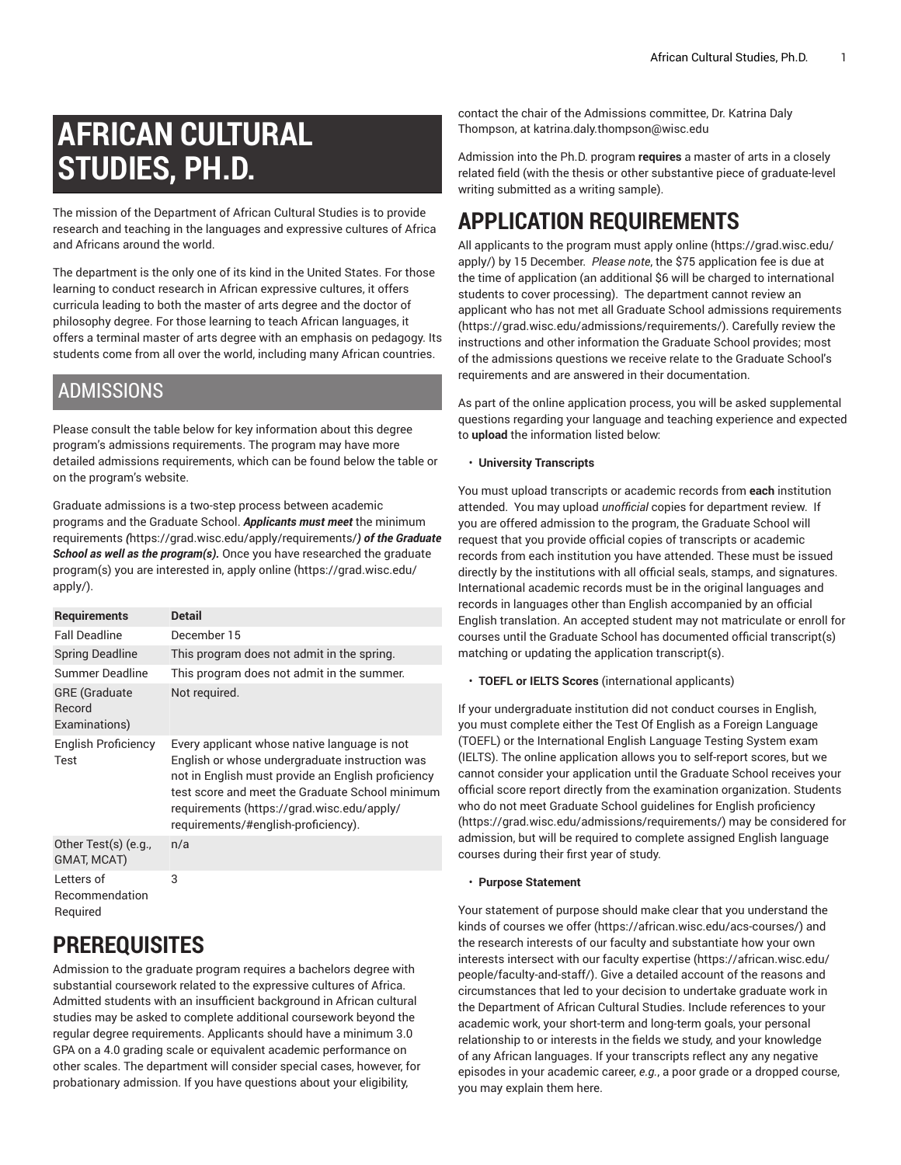# **AFRICAN CULTURAL STUDIES, PH.D.**

The mission of the Department of African Cultural Studies is to provide research and teaching in the languages and expressive cultures of Africa and Africans around the world.

The department is the only one of its kind in the United States. For those learning to conduct research in African expressive cultures, it offers curricula leading to both the master of arts degree and the doctor of philosophy degree. For those learning to teach African languages, it offers a terminal master of arts degree with an emphasis on pedagogy. Its students come from all over the world, including many African countries.

## ADMISSIONS

Please consult the table below for key information about this degree program's admissions requirements. The program may have more detailed admissions requirements, which can be found below the table or on the program's website.

Graduate admissions is a two-step process between academic programs and the Graduate School. *Applicants must meet* [the minimum](https://grad.wisc.edu/apply/requirements/) [requirements](https://grad.wisc.edu/apply/requirements/) *(*<https://grad.wisc.edu/apply/requirements/>*) of the Graduate School as well as the program(s).* Once you have researched the graduate program(s) you are interested in, [apply online \(https://grad.wisc.edu/](https://grad.wisc.edu/apply/) [apply/\)](https://grad.wisc.edu/apply/).

| <b>Requirements</b>                             | <b>Detail</b>                                                                                                                                                                                                                                                                                |
|-------------------------------------------------|----------------------------------------------------------------------------------------------------------------------------------------------------------------------------------------------------------------------------------------------------------------------------------------------|
| <b>Fall Deadline</b>                            | December 15                                                                                                                                                                                                                                                                                  |
| <b>Spring Deadline</b>                          | This program does not admit in the spring.                                                                                                                                                                                                                                                   |
| Summer Deadline                                 | This program does not admit in the summer.                                                                                                                                                                                                                                                   |
| <b>GRE</b> (Graduate<br>Record<br>Examinations) | Not required.                                                                                                                                                                                                                                                                                |
| English Proficiency<br>Test                     | Every applicant whose native language is not<br>English or whose undergraduate instruction was<br>not in English must provide an English proficiency<br>test score and meet the Graduate School minimum<br>requirements (https://grad.wisc.edu/apply/<br>requirements/#english-proficiency). |
| Other Test(s) (e.g.,<br><b>GMAT, MCAT)</b>      | n/a                                                                                                                                                                                                                                                                                          |
| Letters of<br>Recommendation<br>Required        | 3                                                                                                                                                                                                                                                                                            |

# **PREREQUISITES**

Admission to the graduate program requires a bachelors degree with substantial coursework related to the expressive cultures of Africa. Admitted students with an insufficient background in African cultural studies may be asked to complete additional coursework beyond the regular degree requirements. Applicants should have a minimum 3.0 GPA on a 4.0 grading scale or equivalent academic performance on other scales. The department will consider special cases, however, for probationary admission. If you have questions about your eligibility,

contact the chair of the Admissions committee, Dr. Katrina Daly Thompson, at [katrina.daly.thompson@wisc.edu](mailto:katrina.daly.thompson@wisc.edu)

Admission into the Ph.D. program **requires** a master of arts in a closely related field (with the thesis or other substantive piece of graduate-level writing submitted as a writing sample).

# **APPLICATION REQUIREMENTS**

All applicants to the program must apply [online](https://grad.wisc.edu/apply/) ([https://grad.wisc.edu/](https://grad.wisc.edu/apply/) [apply/](https://grad.wisc.edu/apply/)) by 15 December. *Please note*, the \$75 application fee is due at the time of application (an additional \$6 will be charged to international students to cover processing). The department cannot review an applicant who has not met all Graduate School admissions [requirements](https://grad.wisc.edu/admissions/requirements/) [\(https://grad.wisc.edu/admissions/requirements/\)](https://grad.wisc.edu/admissions/requirements/). Carefully review the instructions and other information the Graduate School provides; most of the admissions questions we receive relate to the Graduate School's requirements and are answered in their documentation.

As part of the online application process, you will be asked supplemental questions regarding your language and teaching experience and expected to **upload** the information listed below:

• **University Transcripts**

You must upload transcripts or academic records from **each** institution attended. You may upload *unofficial* copies for department review. If you are offered admission to the program, the Graduate School will request that you provide official copies of transcripts or academic records from each institution you have attended. These must be issued directly by the institutions with all official seals, stamps, and signatures. International academic records must be in the original languages and records in languages other than English accompanied by an official English translation. An accepted student may not matriculate or enroll for courses until the Graduate School has documented official transcript(s) matching or updating the application transcript(s).

• **TOEFL or IELTS Scores** (international applicants)

If your undergraduate institution did not conduct courses in English, you must complete either the Test Of English as a Foreign Language (TOEFL) or the International English Language Testing System exam (IELTS). The online application allows you to self-report scores, but we cannot consider your application until the Graduate School receives your official score report directly from the examination organization. Students who do not meet Graduate School guidelines for English [proficiency](https://grad.wisc.edu/admissions/requirements/) [\(https://grad.wisc.edu/admissions/requirements/\)](https://grad.wisc.edu/admissions/requirements/) may be considered for admission, but will be required to complete assigned English language courses during their first year of study.

### • **Purpose Statement**

Your statement of purpose should make clear that you understand the kinds of [courses](https://african.wisc.edu/acs-courses/) we offer [\(https://african.wisc.edu/acs-courses/](https://african.wisc.edu/acs-courses/)) and the research interests of our faculty and substantiate how your own interests intersect with our faculty [expertise](https://african.wisc.edu/people/faculty-and-staff/) [\(https://african.wisc.edu/](https://african.wisc.edu/people/faculty-and-staff/) [people/faculty-and-staff/\)](https://african.wisc.edu/people/faculty-and-staff/). Give a detailed account of the reasons and circumstances that led to your decision to undertake graduate work in the Department of African Cultural Studies. Include references to your academic work, your short-term and long-term goals, your personal relationship to or interests in the fields we study, and your knowledge of any African languages. If your transcripts reflect any any negative episodes in your academic career, *e.g.*, a poor grade or a dropped course, you may explain them here.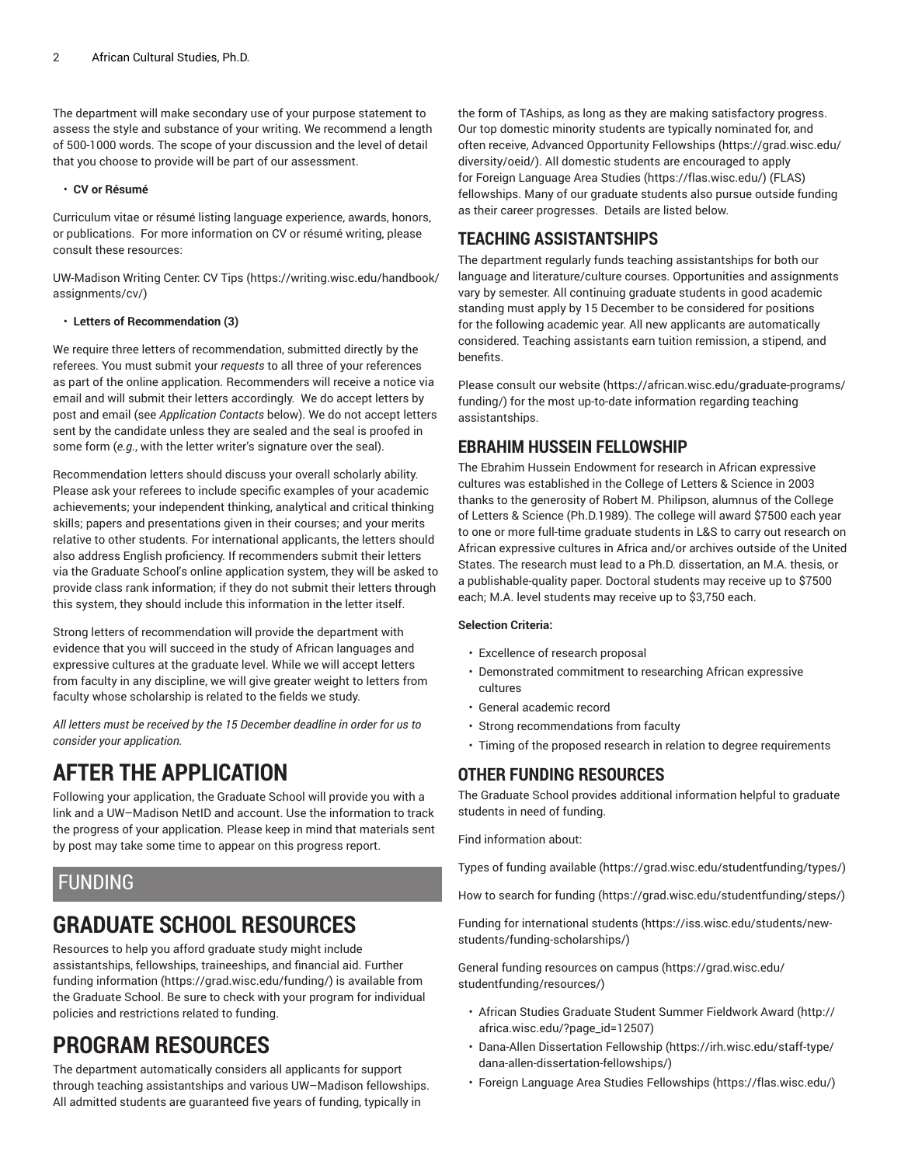The department will make secondary use of your purpose statement to assess the style and substance of your writing. We recommend a length of 500-1000 words. The scope of your discussion and the level of detail that you choose to provide will be part of our assessment.

### • **CV or Résumé**

Curriculum vitae or résumé listing language experience, awards, honors, or publications. For more information on CV or résumé writing, please consult these resources:

UW-Madison Writing Center: [CV Tips \(https://writing.wisc.edu/handbook/](https://writing.wisc.edu/handbook/assignments/cv/) [assignments/cv/](https://writing.wisc.edu/handbook/assignments/cv/))

### • **Letters of Recommendation (3)**

We require three letters of recommendation, submitted directly by the referees. You must submit your *requests* to all three of your references as part of the online application. Recommenders will receive a notice via email and will submit their letters accordingly. We do accept letters by post and email (see *Application Contacts* below). We do not accept letters sent by the candidate unless they are sealed and the seal is proofed in some form (*e.g.*, with the letter writer's signature over the seal).

Recommendation letters should discuss your overall scholarly ability. Please ask your referees to include specific examples of your academic achievements; your independent thinking, analytical and critical thinking skills; papers and presentations given in their courses; and your merits relative to other students. For international applicants, the letters should also address English proficiency. If recommenders submit their letters via the Graduate School's online application system, they will be asked to provide class rank information; if they do not submit their letters through this system, they should include this information in the letter itself.

Strong letters of recommendation will provide the department with evidence that you will succeed in the study of African languages and expressive cultures at the graduate level. While we will accept letters from faculty in any discipline, we will give greater weight to letters from faculty whose scholarship is related to the fields we study.

*All letters must be received by the 15 December deadline in order for us to consider your application.*

# **AFTER THE APPLICATION**

Following your application, the Graduate School will provide you with a link and a UW–Madison NetID and account. Use the information to track the progress of your application. Please keep in mind that materials sent by post may take some time to appear on this progress report.

## FUNDING

# **GRADUATE SCHOOL RESOURCES**

Resources to help you afford graduate study might include assistantships, fellowships, traineeships, and financial aid. [Further](https://grad.wisc.edu/funding/) [funding information](https://grad.wisc.edu/funding/) ([https://grad.wisc.edu/funding/\)](https://grad.wisc.edu/funding/) is available from the Graduate School. Be sure to check with your program for individual policies and restrictions related to funding.

# **PROGRAM RESOURCES**

The department automatically considers all applicants for support through teaching assistantships and various UW–Madison fellowships. All admitted students are guaranteed five years of funding, typically in

the form of TAships, as long as they are making satisfactory progress. Our top domestic minority students are typically nominated for, and often receive, Advanced Opportunity [Fellowships](https://grad.wisc.edu/diversity/oeid/) ([https://grad.wisc.edu/](https://grad.wisc.edu/diversity/oeid/) [diversity/oeid/\)](https://grad.wisc.edu/diversity/oeid/). All domestic students are encouraged to apply for Foreign [Language](https://flas.wisc.edu/) Area Studies [\(https://flas.wisc.edu/](https://flas.wisc.edu/)) (FLAS) fellowships. Many of our graduate students also pursue outside funding as their career progresses. Details are listed below.

## **TEACHING ASSISTANTSHIPS**

The department regularly funds teaching assistantships for both our language and literature/culture courses. Opportunities and assignments vary by semester. All continuing graduate students in good academic standing must apply by 15 December to be considered for positions for the following academic year. All new applicants are automatically considered. Teaching assistants earn tuition remission, a stipend, and benefits.

Please consult [our website](https://african.wisc.edu/graduate-programs/funding/) ([https://african.wisc.edu/graduate-programs/](https://african.wisc.edu/graduate-programs/funding/) [funding/](https://african.wisc.edu/graduate-programs/funding/)) for the most up-to-date information regarding teaching assistantships.

## **EBRAHIM HUSSEIN FELLOWSHIP**

The Ebrahim Hussein Endowment for research in African expressive cultures was established in the College of Letters & Science in 2003 thanks to the generosity of Robert M. Philipson, alumnus of the College of Letters & Science (Ph.D.1989). The college will award \$7500 each year to one or more full-time graduate students in L&S to carry out research on African expressive cultures in Africa and/or archives outside of the United States. The research must lead to a Ph.D. dissertation, an M.A. thesis, or a publishable-quality paper. Doctoral students may receive up to \$7500 each; M.A. level students may receive up to \$3,750 each.

### **Selection Criteria:**

- Excellence of research proposal
- Demonstrated commitment to researching African expressive cultures
- General academic record
- Strong recommendations from faculty
- Timing of the proposed research in relation to degree requirements

## **OTHER FUNDING RESOURCES**

The Graduate School provides additional information helpful to graduate students in need of funding.

Find information about:

Types of funding [available](https://grad.wisc.edu/studentfunding/types/) (<https://grad.wisc.edu/studentfunding/types/>)

How to search for [funding \(https://grad.wisc.edu/studentfunding/steps/\)](https://grad.wisc.edu/studentfunding/steps/)

Funding for [international](https://iss.wisc.edu/students/new-students/funding-scholarships/) students ([https://iss.wisc.edu/students/new](https://iss.wisc.edu/students/new-students/funding-scholarships/)[students/funding-scholarships/\)](https://iss.wisc.edu/students/new-students/funding-scholarships/)

General funding [resources](https://grad.wisc.edu/studentfunding/resources/) on campus [\(https://grad.wisc.edu/](https://grad.wisc.edu/studentfunding/resources/) [studentfunding/resources/\)](https://grad.wisc.edu/studentfunding/resources/)

- African Studies Graduate Student Summer [Fieldwork](http://africa.wisc.edu/?page_id=12507) Award [\(http://](http://africa.wisc.edu/?page_id=12507) [africa.wisc.edu/?page\\_id=12507\)](http://africa.wisc.edu/?page_id=12507)
- Dana-Allen [Dissertation](https://irh.wisc.edu/staff-type/dana-allen-dissertation-fellowships/) Fellowship [\(https://irh.wisc.edu/staff-type/](https://irh.wisc.edu/staff-type/dana-allen-dissertation-fellowships/) [dana-allen-dissertation-fellowships/](https://irh.wisc.edu/staff-type/dana-allen-dissertation-fellowships/))
- Foreign Language Area Studies [Fellowships](https://flas.wisc.edu/) [\(https://flas.wisc.edu/](https://flas.wisc.edu/))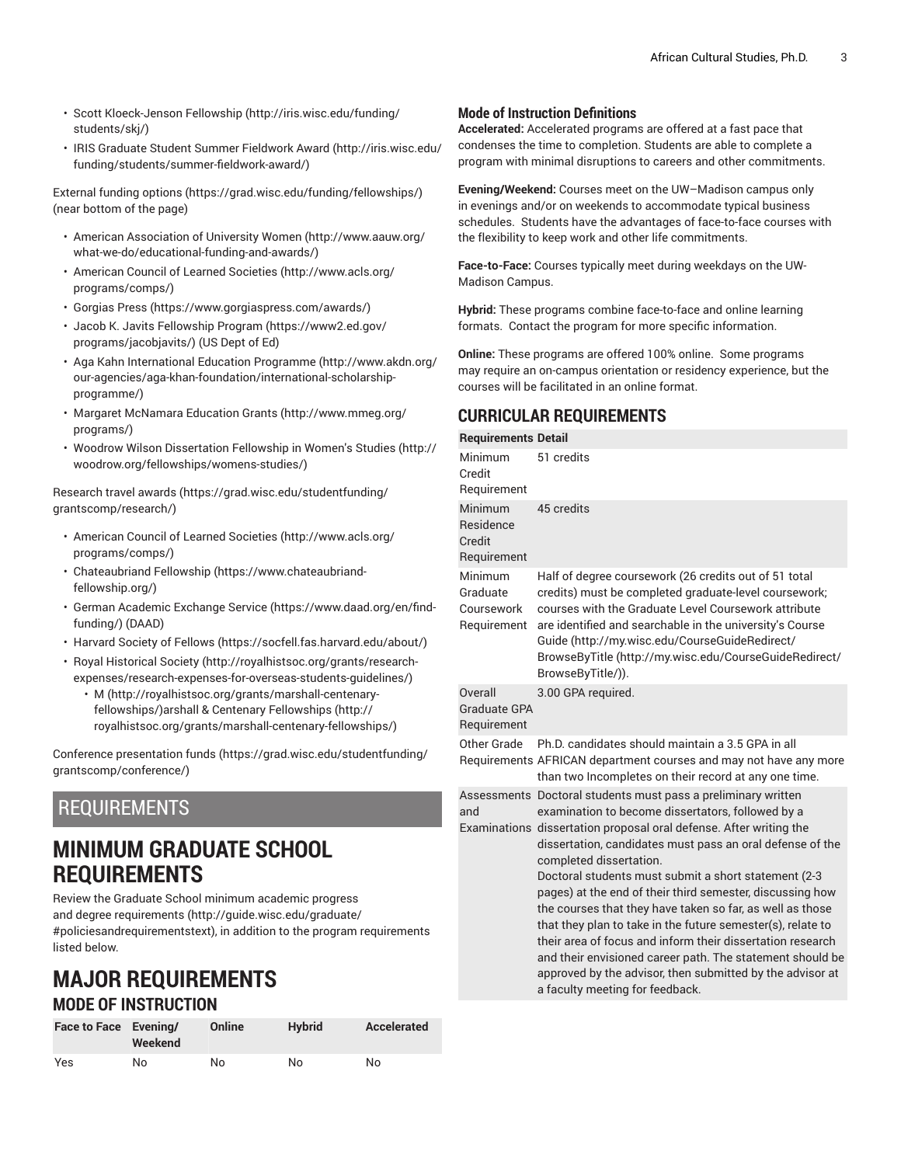- Scott [Kloeck-Jenson](http://iris.wisc.edu/funding/students/skj/) Fellowship [\(http://iris.wisc.edu/funding/](http://iris.wisc.edu/funding/students/skj/) [students/skj/\)](http://iris.wisc.edu/funding/students/skj/)
- IRIS Graduate Student Summer [Fieldwork](http://iris.wisc.edu/funding/students/summer-fieldwork-award/) Award ([http://iris.wisc.edu/](http://iris.wisc.edu/funding/students/summer-fieldwork-award/) [funding/students/summer-fieldwork-award/\)](http://iris.wisc.edu/funding/students/summer-fieldwork-award/)

[External funding options](https://grad.wisc.edu/funding/fellowships/) ([https://grad.wisc.edu/funding/fellowships/\)](https://grad.wisc.edu/funding/fellowships/) (near bottom of the page)

- American [Association](http://www.aauw.org/what-we-do/educational-funding-and-awards/) of University Women ([http://www.aauw.org/](http://www.aauw.org/what-we-do/educational-funding-and-awards/) [what-we-do/educational-funding-and-awards/](http://www.aauw.org/what-we-do/educational-funding-and-awards/))
- [American Council of Learned Societies \(http://www.acls.org/](http://www.acls.org/programs/comps/) [programs/comps/\)](http://www.acls.org/programs/comps/)
- [Gorgias](https://www.gorgiaspress.com/awards/) Press (<https://www.gorgiaspress.com/awards/>)
- Jacob K. Javits [Fellowship](https://www2.ed.gov/programs/jacobjavits/) Program [\(https://www2.ed.gov/](https://www2.ed.gov/programs/jacobjavits/) [programs/jacobjavits/](https://www2.ed.gov/programs/jacobjavits/)) (US Dept of Ed)
- Aga Kahn [International](http://www.akdn.org/our-agencies/aga-khan-foundation/international-scholarship-programme/) Education Programme [\(http://www.akdn.org/](http://www.akdn.org/our-agencies/aga-khan-foundation/international-scholarship-programme/) [our-agencies/aga-khan-foundation/international-scholarship](http://www.akdn.org/our-agencies/aga-khan-foundation/international-scholarship-programme/)[programme/\)](http://www.akdn.org/our-agencies/aga-khan-foundation/international-scholarship-programme/)
- Margaret [McNamara](http://www.mmeg.org/programs/) Education Grants [\(http://www.mmeg.org/](http://www.mmeg.org/programs/) [programs/\)](http://www.mmeg.org/programs/)
- Woodrow Wilson [Dissertation](http://woodrow.org/fellowships/womens-studies/) Fellowship in Women's Studies ([http://](http://woodrow.org/fellowships/womens-studies/) [woodrow.org/fellowships/womens-studies/](http://woodrow.org/fellowships/womens-studies/))

[Research](https://grad.wisc.edu/studentfunding/grantscomp/research/) travel awards ([https://grad.wisc.edu/studentfunding/](https://grad.wisc.edu/studentfunding/grantscomp/research/) [grantscomp/research/](https://grad.wisc.edu/studentfunding/grantscomp/research/))

- [American Council of Learned Societies \(http://www.acls.org/](http://www.acls.org/programs/comps/) [programs/comps/\)](http://www.acls.org/programs/comps/)
- [Chateaubriand](https://www.chateaubriand-fellowship.org/) Fellowship ([https://www.chateaubriand](https://www.chateaubriand-fellowship.org/)[fellowship.org/\)](https://www.chateaubriand-fellowship.org/)
- German [Academic](https://www.daad.org/en/find-funding/) Exchange Service [\(https://www.daad.org/en/find](https://www.daad.org/en/find-funding/)[funding/\)](https://www.daad.org/en/find-funding/) (DAAD)
- [Harvard](https://socfell.fas.harvard.edu/about/) Society of Fellows ([https://socfell.fas.harvard.edu/about/\)](https://socfell.fas.harvard.edu/about/)
- Royal [Historical](http://royalhistsoc.org/grants/research-expenses/research-expenses-for-overseas-students-guidelines/) Society [\(http://royalhistsoc.org/grants/research](http://royalhistsoc.org/grants/research-expenses/research-expenses-for-overseas-students-guidelines/)[expenses/research-expenses-for-overseas-students-guidelines/\)](http://royalhistsoc.org/grants/research-expenses/research-expenses-for-overseas-students-guidelines/)
	- [M](http://royalhistsoc.org/grants/marshall-centenary-fellowships/) ([http://royalhistsoc.org/grants/marshall-centenary](http://royalhistsoc.org/grants/marshall-centenary-fellowships/)[fellowships/](http://royalhistsoc.org/grants/marshall-centenary-fellowships/))arshall & Centenary [Fellowships \(http://](http://royalhistsoc.org/grants/marshall-centenary-fellowships/) [royalhistsoc.org/grants/marshall-centenary-fellowships/](http://royalhistsoc.org/grants/marshall-centenary-fellowships/))

Conference [presentation](https://grad.wisc.edu/studentfunding/grantscomp/conference/) funds [\(https://grad.wisc.edu/studentfunding/](https://grad.wisc.edu/studentfunding/grantscomp/conference/) [grantscomp/conference/](https://grad.wisc.edu/studentfunding/grantscomp/conference/))

## REQUIREMENTS

# **MINIMUM GRADUATE SCHOOL REQUIREMENTS**

Review the Graduate School minimum [academic](http://guide.wisc.edu/graduate/#policiesandrequirementstext) progress and degree [requirements](http://guide.wisc.edu/graduate/#policiesandrequirementstext) [\(http://guide.wisc.edu/graduate/](http://guide.wisc.edu/graduate/#policiesandrequirementstext) [#policiesandrequirementstext\)](http://guide.wisc.edu/graduate/#policiesandrequirementstext), in addition to the program requirements listed below.

# **MAJOR REQUIREMENTS MODE OF INSTRUCTION**

| Face to Face Evening/ | Weekend | Online | <b>Hybrid</b> | Accelerated |
|-----------------------|---------|--------|---------------|-------------|
| Yes                   | No      | No     | No            | No          |

### **Mode of Instruction Definitions**

**Accelerated:** Accelerated programs are offered at a fast pace that condenses the time to completion. Students are able to complete a program with minimal disruptions to careers and other commitments.

**Evening/Weekend:** Courses meet on the UW–Madison campus only in evenings and/or on weekends to accommodate typical business schedules. Students have the advantages of face-to-face courses with the flexibility to keep work and other life commitments.

**Face-to-Face:** Courses typically meet during weekdays on the UW-Madison Campus.

**Hybrid:** These programs combine face-to-face and online learning formats. Contact the program for more specific information.

**Online:** These programs are offered 100% online. Some programs may require an on-campus orientation or residency experience, but the courses will be facilitated in an online format.

## **CURRICULAR REQUIREMENTS**

### **Requirements Detail**

| Minimum<br>Credit<br>Requirement                 | 51 credits                                                                                                                                                                                                                                                                                                                                                                                                                                                                                                                                                                                                                                                                                                                                                   |
|--------------------------------------------------|--------------------------------------------------------------------------------------------------------------------------------------------------------------------------------------------------------------------------------------------------------------------------------------------------------------------------------------------------------------------------------------------------------------------------------------------------------------------------------------------------------------------------------------------------------------------------------------------------------------------------------------------------------------------------------------------------------------------------------------------------------------|
| Minimum<br>Residence<br>Credit<br>Requirement    | 45 credits                                                                                                                                                                                                                                                                                                                                                                                                                                                                                                                                                                                                                                                                                                                                                   |
| Minimum<br>Graduate<br>Coursework<br>Requirement | Half of degree coursework (26 credits out of 51 total<br>credits) must be completed graduate-level coursework;<br>courses with the Graduate Level Coursework attribute<br>are identified and searchable in the university's Course<br>Guide (http://my.wisc.edu/CourseGuideRedirect/<br>BrowseByTitle (http://my.wisc.edu/CourseGuideRedirect/<br>BrowseByTitle/)).                                                                                                                                                                                                                                                                                                                                                                                          |
| Overall<br><b>Graduate GPA</b><br>Requirement    | 3.00 GPA required.                                                                                                                                                                                                                                                                                                                                                                                                                                                                                                                                                                                                                                                                                                                                           |
| Other Grade                                      | Ph.D. candidates should maintain a 3.5 GPA in all<br>Requirements AFRICAN department courses and may not have any more<br>than two Incompletes on their record at any one time.                                                                                                                                                                                                                                                                                                                                                                                                                                                                                                                                                                              |
| and                                              | Assessments Doctoral students must pass a preliminary written<br>examination to become dissertators, followed by a<br>Examinations dissertation proposal oral defense. After writing the<br>dissertation, candidates must pass an oral defense of the<br>completed dissertation.<br>Doctoral students must submit a short statement (2-3<br>pages) at the end of their third semester, discussing how<br>the courses that they have taken so far, as well as those<br>that they plan to take in the future semester(s), relate to<br>their area of focus and inform their dissertation research<br>and their envisioned career path. The statement should be<br>approved by the advisor, then submitted by the advisor at<br>a faculty meeting for feedback. |
|                                                  |                                                                                                                                                                                                                                                                                                                                                                                                                                                                                                                                                                                                                                                                                                                                                              |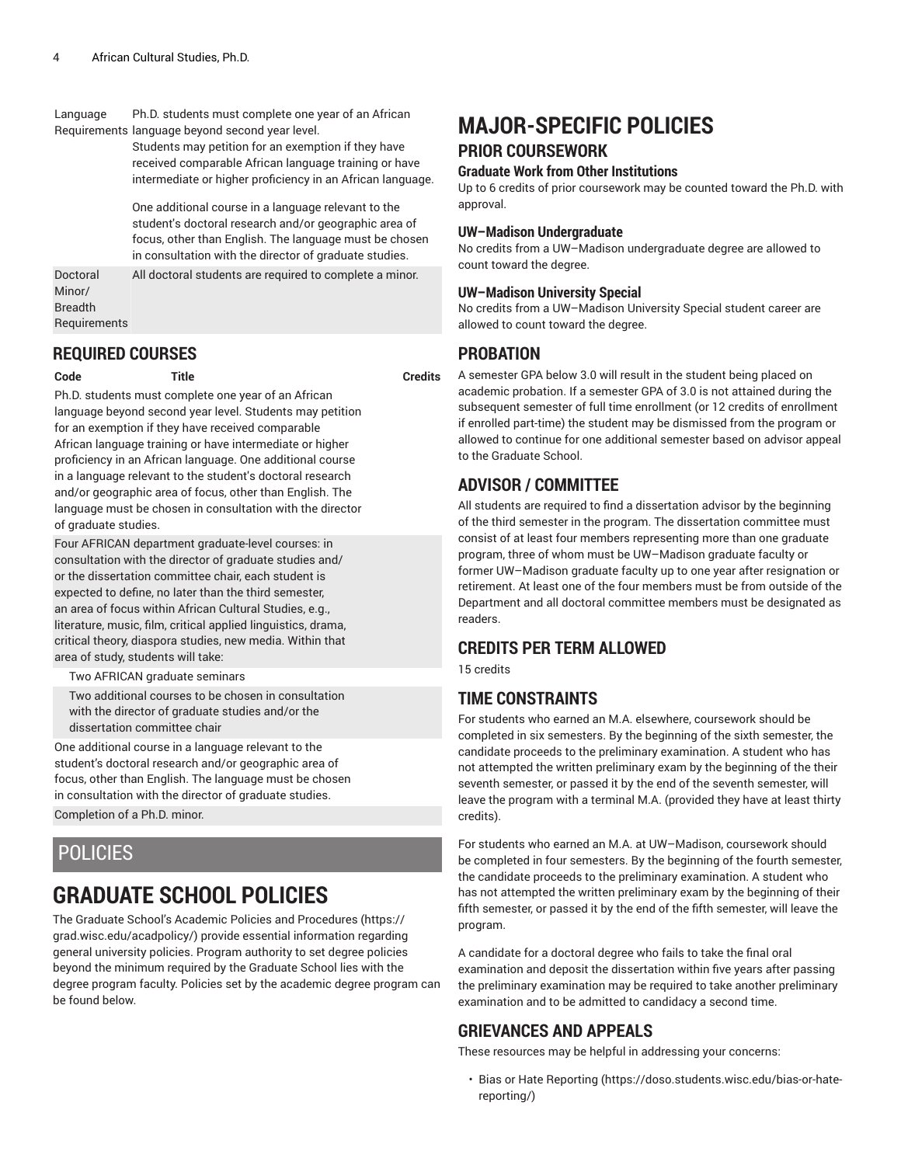#### Language Requirements language beyond second year level. Ph.D. students must complete one year of an African

Students may petition for an exemption if they have received comparable African language training or have intermediate or higher proficiency in an African language.

One additional course in a language relevant to the student's doctoral research and/or geographic area of focus, other than English. The language must be chosen in consultation with the director of graduate studies.

Doctoral Minor/ Breadth **Requirements** All doctoral students are required to complete a minor.

### **REQUIRED COURSES**

**Code Title Credits**

Ph.D. students must complete one year of an African language beyond second year level. Students may petition for an exemption if they have received comparable African language training or have intermediate or higher proficiency in an African language. One additional course in a language relevant to the student's doctoral research and/or geographic area of focus, other than English. The language must be chosen in consultation with the director of graduate studies.

Four AFRICAN department graduate-level courses: in consultation with the director of graduate studies and/ or the dissertation committee chair, each student is expected to define, no later than the third semester, an area of focus within African Cultural Studies, e.g., literature, music, film, critical applied linguistics, drama, critical theory, diaspora studies, new media. Within that area of study, students will take:

Two AFRICAN graduate seminars

Two additional courses to be chosen in consultation with the director of graduate studies and/or the dissertation committee chair

One additional course in a language relevant to the student's doctoral research and/or geographic area of focus, other than English. The language must be chosen in consultation with the director of graduate studies. Completion of a Ph.D. minor.

## POLICIES

# **GRADUATE SCHOOL POLICIES**

The Graduate School's Academic Policies and [Procedures](https://grad.wisc.edu/acadpolicy/) ([https://](https://grad.wisc.edu/acadpolicy/) [grad.wisc.edu/acadpolicy/\)](https://grad.wisc.edu/acadpolicy/) provide essential information regarding general university policies. Program authority to set degree policies beyond the minimum required by the Graduate School lies with the degree program faculty. Policies set by the academic degree program can be found below.

## **MAJOR-SPECIFIC POLICIES PRIOR COURSEWORK**

### **Graduate Work from Other Institutions**

Up to 6 credits of prior coursework may be counted toward the Ph.D. with approval.

### **UW–Madison Undergraduate**

No credits from a UW–Madison undergraduate degree are allowed to count toward the degree.

### **UW–Madison University Special**

No credits from a UW–Madison University Special student career are allowed to count toward the degree.

### **PROBATION**

A semester GPA below 3.0 will result in the student being placed on academic probation. If a semester GPA of 3.0 is not attained during the subsequent semester of full time enrollment (or 12 credits of enrollment if enrolled part-time) the student may be dismissed from the program or allowed to continue for one additional semester based on advisor appeal to the Graduate School.

## **ADVISOR / COMMITTEE**

All students are required to find a dissertation advisor by the beginning of the third semester in the program. The dissertation committee must consist of at least four members representing more than one graduate program, three of whom must be UW–Madison graduate faculty or former UW–Madison graduate faculty up to one year after resignation or retirement. At least one of the four members must be from outside of the Department and all doctoral committee members must be designated as readers.

## **CREDITS PER TERM ALLOWED**

15 credits

### **TIME CONSTRAINTS**

For students who earned an M.A. elsewhere, coursework should be completed in six semesters. By the beginning of the sixth semester, the candidate proceeds to the preliminary examination. A student who has not attempted the written preliminary exam by the beginning of the their seventh semester, or passed it by the end of the seventh semester, will leave the program with a terminal M.A. (provided they have at least thirty credits).

For students who earned an M.A. at UW–Madison, coursework should be completed in four semesters. By the beginning of the fourth semester, the candidate proceeds to the preliminary examination. A student who has not attempted the written preliminary exam by the beginning of their fifth semester, or passed it by the end of the fifth semester, will leave the program.

A candidate for a doctoral degree who fails to take the final oral examination and deposit the dissertation within five years after passing the preliminary examination may be required to take another preliminary examination and to be admitted to candidacy a second time.

### **GRIEVANCES AND APPEALS**

These resources may be helpful in addressing your concerns:

• Bias or Hate [Reporting \(https://doso.students.wisc.edu/bias-or-hate](https://doso.students.wisc.edu/bias-or-hate-reporting/)[reporting/](https://doso.students.wisc.edu/bias-or-hate-reporting/))